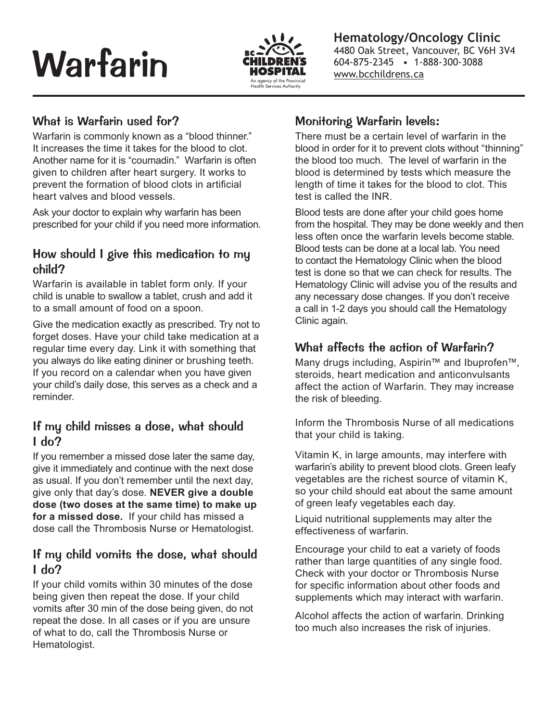# Warfarin



**Hematology/Oncology Clinic** 4480 Oak Street, Vancouver, BC V6H 3V4 604-875-2345 • 1-888-300-3088 www.bcchildrens.ca

#### What is Warfarin used for?

Warfarin is commonly known as a "blood thinner." It increases the time it takes for the blood to clot. Another name for it is "coumadin." Warfarin is often given to children after heart surgery. It works to prevent the formation of blood clots in artificial heart valves and blood vessels.

Ask your doctor to explain why warfarin has been prescribed for your child if you need more information.

#### How should I give this medication to my child?

Warfarin is available in tablet form only. If your child is unable to swallow a tablet, crush and add it to a small amount of food on a spoon.

Give the medication exactly as prescribed. Try not to forget doses. Have your child take medication at a regular time every day. Link it with something that you always do like eating dininer or brushing teeth. If you record on a calendar when you have given your child's daily dose, this serves as a check and a reminder.

#### If my child misses a dose, what should I do?

If you remember a missed dose later the same day, give it immediately and continue with the next dose as usual. If you don't remember until the next day, give only that day's dose. **NEVER give a double dose (two doses at the same time) to make up for a missed dose.** If your child has missed a dose call the Thrombosis Nurse or Hematologist.

#### If my child vomits the dose, what should I do?

If your child vomits within 30 minutes of the dose being given then repeat the dose. If your child vomits after 30 min of the dose being given, do not repeat the dose. In all cases or if you are unsure of what to do, call the Thrombosis Nurse or Hematologist.

#### Monitoring Warfarin levels:

There must be a certain level of warfarin in the blood in order for it to prevent clots without "thinning" the blood too much. The level of warfarin in the blood is determined by tests which measure the length of time it takes for the blood to clot. This test is called the INR.

Blood tests are done after your child goes home from the hospital. They may be done weekly and then less often once the warfarin levels become stable. Blood tests can be done at a local lab. You need to contact the Hematology Clinic when the blood test is done so that we can check for results. The Hematology Clinic will advise you of the results and any necessary dose changes. If you don't receive a call in 1-2 days you should call the Hematology Clinic again.

#### What affects the action of Warfarin?

Many drugs including, Aspirin™ and Ibuprofen™, steroids, heart medication and anticonvulsants affect the action of Warfarin. They may increase the risk of bleeding.

Inform the Thrombosis Nurse of all medications that your child is taking.

Vitamin K, in large amounts, may interfere with warfarin's ability to prevent blood clots. Green leafy vegetables are the richest source of vitamin K, so your child should eat about the same amount of green leafy vegetables each day.

Liquid nutritional supplements may alter the effectiveness of warfarin.

Encourage your child to eat a variety of foods rather than large quantities of any single food. Check with your doctor or Thrombosis Nurse for specific information about other foods and supplements which may interact with warfarin.

Alcohol affects the action of warfarin. Drinking too much also increases the risk of injuries.